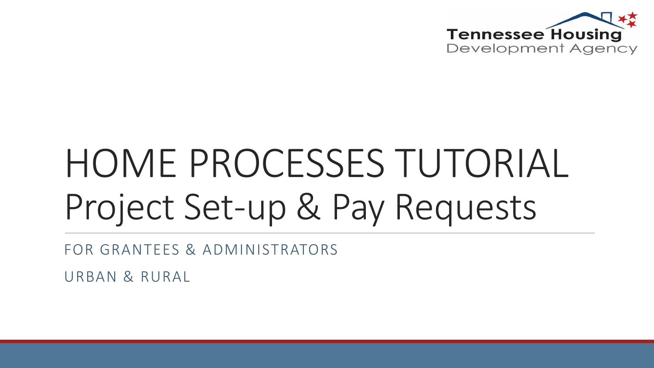

# HOME PROCESSES TUTORIAL Project Set-up & Pay Requests

FOR GRANTEES & ADMINISTRATORS

URBAN & RURAL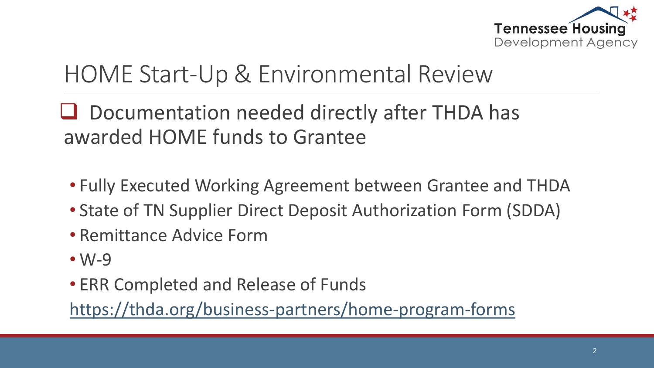

### HOME Start-Up & Environmental Review

#### $\Box$  Documentation needed directly after THDA has awarded HOME funds to Grantee

- Fully Executed Working Agreement between Grantee and THDA
- State of TN Supplier Direct Deposit Authorization Form (SDDA)
- Remittance Advice Form
- W-9
- ERR Completed and Release of Funds

<https://thda.org/business-partners/home-program-forms>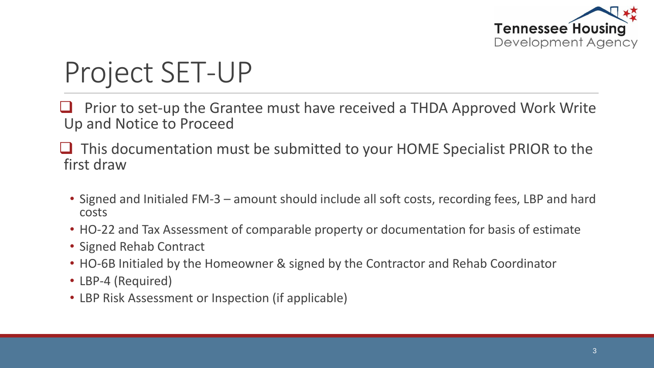

# Project SET-UP

- Prior to set-up the Grantee must have received a THDA Approved Work Write Up and Notice to Proceed
- $\Box$  This documentation must be submitted to your HOME Specialist PRIOR to the first draw
	- Signed and Initialed FM-3 amount should include all soft costs, recording fees, LBP and hard costs
	- HO-22 and Tax Assessment of comparable property or documentation for basis of estimate
	- Signed Rehab Contract
	- HO-6B Initialed by the Homeowner & signed by the Contractor and Rehab Coordinator
	- LBP-4 (Required)
	- LBP Risk Assessment or Inspection (if applicable)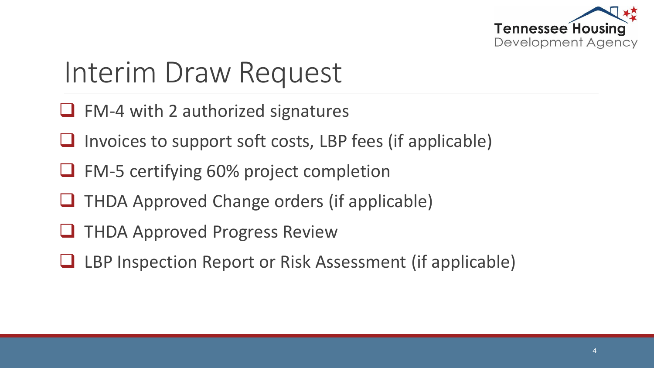

## Interim Draw Request

- $\Box$  FM-4 with 2 authorized signatures
- Invoices to support soft costs, LBP fees (if applicable)
- FM-5 certifying 60% project completion
- THDA Approved Change orders (if applicable)
- **THDA Approved Progress Review**
- LBP Inspection Report or Risk Assessment (if applicable)